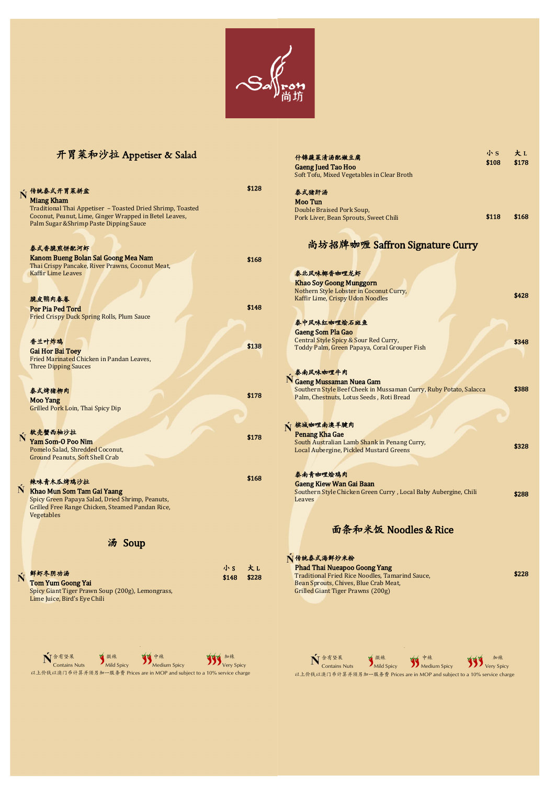## 開胃菜和沙拉 Appetiser & Salad



什錦蔬菜清湯配嫩豆腐 Gaeng Jued Tao Hoo

Tom Yum Goong Yai Spicy Giant Tiger Prawn Soup (200g), Lemongrass,

Ń

Lime Juice, Bird's Eye Chili

小 **S** \$108 大 **L** \$178

\$168

\$428

\$348

\$388

\$328

\$288

\$228

-

 含有堅果 微辣 中辣 加辣 **Contains Nuts Mild Spicy Medium Spicy Very Spicy** Very Spicy 以上價錢以澳門幣計算並須另加一服務費 Prices are in MOP and subject to a 10% service charge

|   |                                                                               |                | Soft Tofu, Mixed Vegetables in Clear Broth                        |       |
|---|-------------------------------------------------------------------------------|----------------|-------------------------------------------------------------------|-------|
|   | V 传统泰式开胃菜拼盆                                                                   | \$128          | 泰式猪肝汤                                                             |       |
|   | <b>Miang Kham</b>                                                             |                | <b>Moo Tun</b>                                                    |       |
|   | Traditional Thai Appetiser - Toasted Dried Shrimp, Toasted                    |                | Double Braised Pork Soup,                                         |       |
|   | Coconut, Peanut, Lime, Ginger Wrapped in Betel Leaves,                        |                | Pork Liver, Bean Sprouts, Sweet Chili                             | \$118 |
|   | Palm Sugar & Shrimp Paste Dipping Sauce                                       |                |                                                                   |       |
|   |                                                                               |                |                                                                   |       |
|   |                                                                               |                | 尚坊招牌咖喱 Saffron Signature Curry                                    |       |
|   | 泰式香脆煎饼配河虾                                                                     |                |                                                                   |       |
|   | Kanom Bueng Bolan Sai Goong Mea Nam                                           | \$168          |                                                                   |       |
|   | Thai Crispy Pancake, River Prawns, Coconut Meat,<br><b>Kaffir Lime Leaves</b> |                | 泰北风味椰香咖哩龙虾                                                        |       |
|   |                                                                               |                | <b>Khao Soy Goong Munggorn</b>                                    |       |
|   |                                                                               |                | Nothern Style Lobster in Coconut Curry,                           |       |
|   | 脆皮鴨肉春卷                                                                        |                | <b>Kaffir Lime, Crispy Udon Noodles</b>                           |       |
|   | <b>Por Pia Ped Tord</b>                                                       | \$148          |                                                                   |       |
|   | <b>Fried Crispy Duck Spring Rolls, Plum Sauce</b>                             |                |                                                                   |       |
|   |                                                                               |                | 泰中风味红咖哩烩石斑鱼                                                       |       |
|   |                                                                               |                | <b>Gaeng Som Pla Gao</b>                                          |       |
|   | 香兰叶炸鸡                                                                         | \$138          | Central Style Spicy & Sour Red Curry,                             |       |
|   | <b>Gai Hor Bai Toey</b>                                                       |                | Toddy Palm, Green Papaya, Coral Grouper Fish                      |       |
|   | Fried Marinated Chicken in Pandan Leaves,                                     |                |                                                                   |       |
|   | <b>Three Dipping Sauces</b>                                                   |                | ,泰南风味咖哩牛肉                                                         |       |
|   |                                                                               |                | N Gaeng Mussaman Nuea Gam                                         |       |
|   | 泰式烤猪柳肉                                                                        |                | Southern Style Beef Cheek in Mussaman Curry, Ruby Potato, Salacca |       |
|   | <b>Moo Yang</b>                                                               | \$178          | Palm, Chestnuts, Lotus Seeds, Roti Bread                          |       |
|   | <b>Grilled Pork Loin, Thai Spicy Dip</b>                                      |                |                                                                   |       |
|   |                                                                               |                |                                                                   |       |
|   |                                                                               |                | √ 槟城咖哩南澳羊腱肉                                                       |       |
|   | 软壳蟹西柚沙拉                                                                       | \$178          | <b>Penang Kha Gae</b>                                             |       |
|   | Yam Som-O Poo Nim                                                             |                | South Australian Lamb Shank in Penang Curry,                      |       |
|   | Pomelo Salad, Shredded Coconut,<br><b>Ground Peanuts, Soft Shell Crab</b>     |                | <b>Local Aubergine, Pickled Mustard Greens</b>                    |       |
|   |                                                                               |                |                                                                   |       |
|   |                                                                               |                | 泰南青咖哩烩鸡肉                                                          |       |
|   | 辣味青木瓜烤鸡沙拉                                                                     | \$168          | <b>Gaeng Kiew Wan Gai Baan</b>                                    |       |
| N | Khao Mun Som Tam Gai Yaang                                                    |                | Southern Style Chicken Green Curry, Local Baby Aubergine, Chili   |       |
|   | Spicy Green Papaya Salad, Dried Shrimp, Peanuts,                              |                | Leaves                                                            |       |
|   | Grilled Free Range Chicken, Steamed Pandan Rice,                              |                |                                                                   |       |
|   | Vegetables                                                                    |                |                                                                   |       |
|   |                                                                               |                | 面条和米饭 Noodles & Rice                                              |       |
|   |                                                                               |                |                                                                   |       |
|   | 汤 Soup                                                                        |                |                                                                   |       |
|   |                                                                               |                | Ⅳ传统泰式海鲜炒米粉                                                        |       |
|   |                                                                               | 大L<br>小S       | <b>Phad Thai Nueapoo Goong Yang</b>                               |       |
|   | 鲜虾冬阴功汤                                                                        | \$148<br>\$228 | <b>Traditional Fried Rice Noodles, Tamarind Sauce,</b>            |       |

## Bean Sprouts, Chives, Blue Crab Meat, Grilled Giant Tiger Prawns (200g)

-

 含有堅果 微辣 中辣 加辣 **Contains Nuts Mild Spicy Medium Spicy Very Spicy** 以上價錢以澳門幣計算並須另加一服務費 Prices are in MOP and subject to a 10% service charge

\$148

\$228